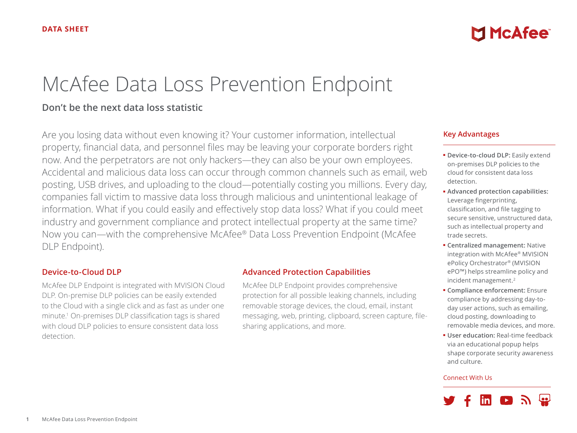# McAfee Data Loss Prevention Endpoint

## **Don't be the next data loss statistic**

Are you losing data without even knowing it? Your customer information, intellectual property, financial data, and personnel files may be leaving your corporate borders right now. And the perpetrators are not only hackers—they can also be your own employees. Accidental and malicious data loss can occur through common channels such as email, web posting, USB drives, and uploading to the cloud—potentially costing you millions. Every day, companies fall victim to massive data loss through malicious and unintentional leakage of information. What if you could easily and effectively stop data loss? What if you could meet industry and government compliance and protect intellectual property at the same time? Now you can—with the comprehensive McAfee® Data Loss Prevention Endpoint (McAfee DLP Endpoint).

## **Device-to-Cloud DLP**

McAfee DLP Endpoint is integrated with MVISION Cloud DLP. On-premise DLP policies can be easily extended to the Cloud with a single click and as fast as under one minute.1 On-premises DLP classification tags is shared with cloud DLP policies to ensure consistent data loss detection.

#### **Advanced Protection Capabilities**

McAfee DLP Endpoint provides comprehensive protection for all possible leaking channels, including removable storage devices, the cloud, email, instant messaging, web, printing, clipboard, screen capture, filesharing applications, and more.

#### **Key Advantages**

■ **Device-to-cloud DLP:** Easily extend on-premises DLP policies to the cloud for consistent data loss detection.

**MCAfee** 

- **Advanced protection capabilities:** Leverage fingerprinting, classification, and file tagging to secure sensitive, unstructured data, such as intellectual property and trade secrets.
- **Centralized management:** Native integration with McAfee® MVISION ePolicy Orchestrator® (MVISION ePO™) helps streamline policy and incident management.2
- **Compliance enforcement:** Ensure compliance by addressing day-today user actions, such as emailing, cloud posting, downloading to removable media devices, and more.
- **User education:** Real-time feedback via an educational popup helps shape corporate security awareness and culture.

#### Connect With Us

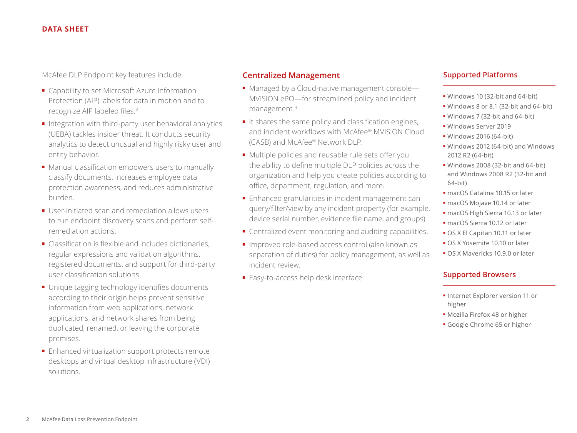#### **DATA SHEET**

McAfee DLP Endpoint key features include:

- Capability to set Microsoft Azure Information Protection (AIP) labels for data in motion and to recognize AIP labeled files.<sup>3</sup>
- Integration with third-party user behavioral analytics (UEBA) tackles insider threat. It conducts security analytics to detect unusual and highly risky user and entity behavior.
- Manual classification empowers users to manually classify documents, increases employee data protection awareness, and reduces administrative burden.
- User-initiated scan and remediation allows users to run endpoint discovery scans and perform selfremediation actions.
- Classification is flexible and includes dictionaries, regular expressions and validation algorithms, registered documents, and support for third-party user classification solutions
- Unique tagging technology identifies documents according to their origin helps prevent sensitive information from web applications, network applications, and network shares from being duplicated, renamed, or leaving the corporate premises.
- Enhanced virtualization support protects remote desktops and virtual desktop infrastructure (VDI) solutions.

## **Centralized Management**

- Managed by a Cloud-native management console— MVISION ePO—for streamlined policy and incident management.4
- It shares the same policy and classification engines, and incident workflows with McAfee® MVISION Cloud (CASB) and McAfee® Network DLP.
- Multiple policies and reusable rule sets offer you the ability to define multiple DLP policies across the organization and help you create policies according to office, department, regulation, and more.
- Enhanced granularities in incident management can query/filter/view by any incident property (for example, device serial number, evidence file name, and groups).
- Centralized event monitoring and auditing capabilities.
- Improved role-based access control (also known as separation of duties) for policy management, as well as incident review.
- Easy-to-access help desk interface.

#### **Supported Platforms**

- Windows 10 (32-bit and 64-bit)
- Windows 8 or 8.1 (32-bit and 64-bit)
- Windows 7 (32-bit and 64-bit)
- Windows Server 2019
- Windows 2016 (64-bit)
- Windows 2012 (64-bit) and Windows 2012 R2 (64-bit)
- Windows 2008 (32-bit and 64-bit) and Windows 2008 R2 (32-bit and 64-bit)
- macOS Catalina 10.15 or later
- macOS Mojave 10.14 or later
- macOS High Sierra 10.13 or later
- macOS Sierra 10.12 or later
- OS X El Capitan 10.11 or later
- OS X Yosemite 10.10 or later
- OS X Mavericks 10.9.0 or later

#### **Supported Browsers**

- Internet Explorer version 11 or higher
- Mozilla Firefox 48 or higher
- Google Chrome 65 or higher